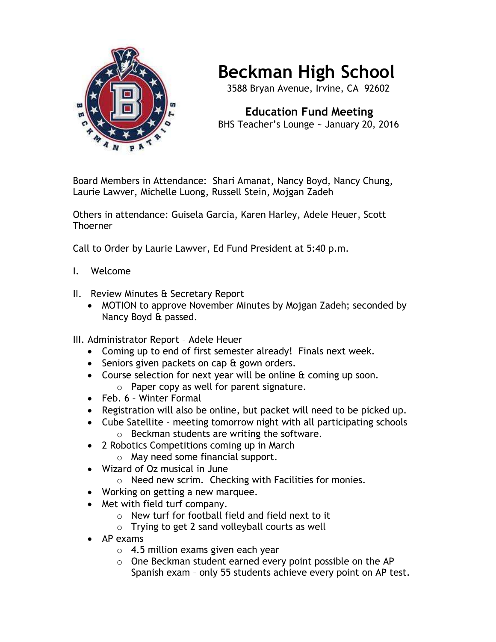

## **Beckman High School**

3588 Bryan Avenue, Irvine, CA 92602

 **Education Fund Meeting** BHS Teacher's Lounge ~ January 20, 2016

Board Members in Attendance: Shari Amanat, Nancy Boyd, Nancy Chung, Laurie Lawver, Michelle Luong, Russell Stein, Mojgan Zadeh

Others in attendance: Guisela Garcia, Karen Harley, Adele Heuer, Scott Thoerner

Call to Order by Laurie Lawver, Ed Fund President at 5:40 p.m.

- I. Welcome
- II. Review Minutes & Secretary Report
	- MOTION to approve November Minutes by Mojgan Zadeh; seconded by Nancy Boyd & passed.
- III. Administrator Report Adele Heuer
	- Coming up to end of first semester already! Finals next week.
	- Seniors given packets on cap & gown orders.
	- Course selection for next year will be online  $\alpha$  coming up soon.
		- o Paper copy as well for parent signature.
	- Feb. 6 Winter Formal
	- Registration will also be online, but packet will need to be picked up.
	- Cube Satellite meeting tomorrow night with all participating schools o Beckman students are writing the software.
		-
	- 2 Robotics Competitions coming up in March
		- o May need some financial support.
	- Wizard of Oz musical in June
		- o Need new scrim. Checking with Facilities for monies.
	- Working on getting a new marquee.
	- Met with field turf company.
		- o New turf for football field and field next to it
		- o Trying to get 2 sand volleyball courts as well
	- AP exams
		- $\circ$  4.5 million exams given each year
		- o One Beckman student earned every point possible on the AP Spanish exam – only 55 students achieve every point on AP test.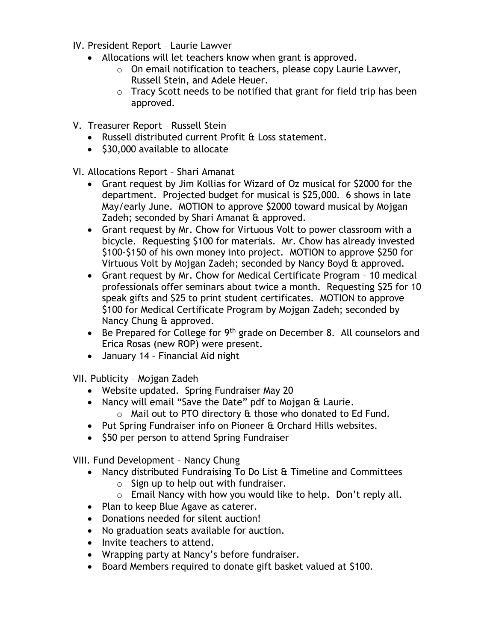- IV. President Report Laurie Lawver
	- Allocations will let teachers know when grant is approved.
		- o On email notification to teachers, please copy Laurie Lawver, Russell Stein, and Adele Heuer.
		- o Tracy Scott needs to be notified that grant for field trip has been approved.
- V. Treasurer Report Russell Stein
	- Russell distributed current Profit & Loss statement.
	- $\bullet$  \$30,000 available to allocate

VI. Allocations Report – Shari Amanat

- Grant request by Jim Kollias for Wizard of Oz musical for \$2000 for the department. Projected budget for musical is \$25,000. 6 shows in late May/early June. MOTION to approve \$2000 toward musical by Mojgan Zadeh; seconded by Shari Amanat & approved.
- Grant request by Mr. Chow for Virtuous Volt to power classroom with a bicycle. Requesting \$100 for materials. Mr. Chow has already invested \$100-\$150 of his own money into project. MOTION to approve \$250 for Virtuous Volt by Mojgan Zadeh; seconded by Nancy Boyd & approved.
- Grant request by Mr. Chow for Medical Certificate Program 10 medical professionals offer seminars about twice a month. Requesting \$25 for 10 speak gifts and \$25 to print student certificates. MOTION to approve \$100 for Medical Certificate Program by Mojgan Zadeh; seconded by Nancy Chung & approved.
- $\bullet$  Be Prepared for College for 9<sup>th</sup> grade on December 8. All counselors and Erica Rosas (new ROP) were present.
- January 14 Financial Aid night

VII. Publicity – Mojgan Zadeh

- Website updated. Spring Fundraiser May 20
- Nancy will email "Save the Date" pdf to Mojgan & Laurie. o Mail out to PTO directory & those who donated to Ed Fund.
	-
- Put Spring Fundraiser info on Pioneer & Orchard Hills websites.
- \$50 per person to attend Spring Fundraiser

VIII. Fund Development – Nancy Chung

- Nancy distributed Fundraising To Do List & Timeline and Committees
	- $\circ$  Sign up to help out with fundraiser.
	- o Email Nancy with how you would like to help. Don't reply all.
- Plan to keep Blue Agave as caterer.
- Donations needed for silent auction!
- No graduation seats available for auction.
- Invite teachers to attend.
- Wrapping party at Nancy's before fundraiser.
- Board Members required to donate gift basket valued at \$100.